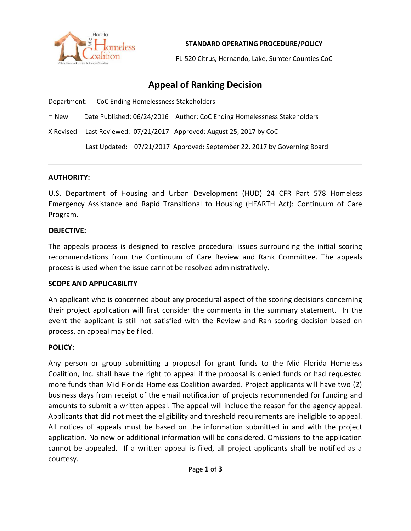

**STANDARD OPERATING PROCEDURE/POLICY**

FL-520 Citrus, Hernando, Lake, Sumter Counties CoC

# **Appeal of Ranking Decision**

Department: CoC Ending Homelessness Stakeholders

□ New Date Published: 06/24/2016 Author: CoC Ending Homelessness Stakeholders

X Revised Last Reviewed: 07/21/2017 Approved: August 25, 2017 by CoC

Last Updated: 07/21/2017 Approved: September 22, 2017 by Governing Board

### **AUTHORITY:**

U.S. Department of Housing and Urban Development (HUD) 24 CFR Part 578 Homeless Emergency Assistance and Rapid Transitional to Housing (HEARTH Act): Continuum of Care Program.

### **OBJECTIVE:**

The appeals process is designed to resolve procedural issues surrounding the initial scoring recommendations from the Continuum of Care Review and Rank Committee. The appeals process is used when the issue cannot be resolved administratively.

## **SCOPE AND APPLICABILITY**

An applicant who is concerned about any procedural aspect of the scoring decisions concerning their project application will first consider the comments in the summary statement. In the event the applicant is still not satisfied with the Review and Ran scoring decision based on process, an appeal may be filed.

#### **POLICY:**

Any person or group submitting a proposal for grant funds to the Mid Florida Homeless Coalition, Inc. shall have the right to appeal if the proposal is denied funds or had requested more funds than Mid Florida Homeless Coalition awarded. Project applicants will have two (2) business days from receipt of the email notification of projects recommended for funding and amounts to submit a written appeal. The appeal will include the reason for the agency appeal. Applicants that did not meet the eligibility and threshold requirements are ineligible to appeal. All notices of appeals must be based on the information submitted in and with the project application. No new or additional information will be considered. Omissions to the application cannot be appealed. If a written appeal is filed, all project applicants shall be notified as a courtesy.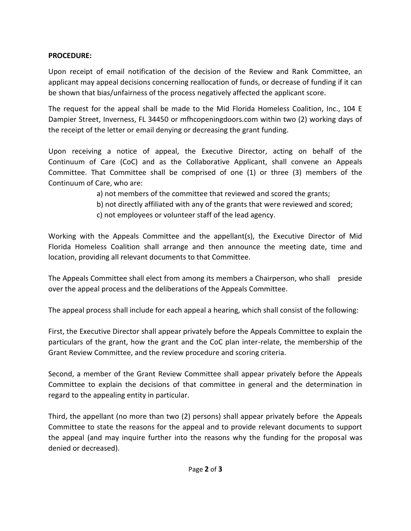# **PROCEDURE:**

Upon receipt of email notification of the decision of the Review and Rank Committee, an applicant may appeal decisions concerning reallocation of funds, or decrease of funding if it can be shown that bias/unfairness of the process negatively affected the applicant score.

The request for the appeal shall be made to the Mid Florida Homeless Coalition, Inc., 104 E Dampier Street, Inverness, FL 34450 or mfhcopeningdoors.com within two (2) working days of the receipt of the letter or email denying or decreasing the grant funding.

Upon receiving a notice of appeal, the Executive Director, acting on behalf of the Continuum of Care (CoC) and as the Collaborative Applicant, shall convene an Appeals Committee. That Committee shall be comprised of one (1) or three (3) members of the Continuum of Care, who are:

a) not members of the committee that reviewed and scored the grants;

- b) not directly affiliated with any of the grants that were reviewed and scored;
- c) not employees or volunteer staff of the lead agency.

Working with the Appeals Committee and the appellant(s), the Executive Director of Mid Florida Homeless Coalition shall arrange and then announce the meeting date, time and location, providing all relevant documents to that Committee.

The Appeals Committee shall elect from among its members a Chairperson, who shall preside over the appeal process and the deliberations of the Appeals Committee.

The appeal process shall include for each appeal a hearing, which shall consist of the following:

First, the Executive Director shall appear privately before the Appeals Committee to explain the particulars of the grant, how the grant and the CoC plan inter-relate, the membership of the Grant Review Committee, and the review procedure and scoring criteria.

Second, a member of the Grant Review Committee shall appear privately before the Appeals Committee to explain the decisions of that committee in general and the determination in regard to the appealing entity in particular.

Third, the appellant (no more than two (2) persons) shall appear privately before the Appeals Committee to state the reasons for the appeal and to provide relevant documents to support the appeal (and may inquire further into the reasons why the funding for the proposal was denied or decreased).